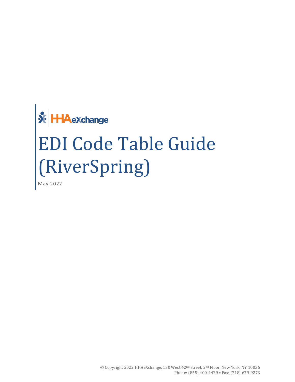# **X** HAeXchange EDI Code Table Guide (RiverSpring)

May 2022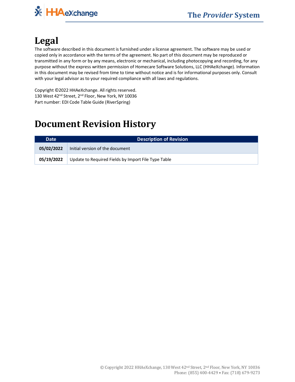

## **Legal**

The software described in this document is furnished under a license agreement. The software may be used or copied only in accordance with the terms of the agreement. No part of this document may be reproduced or transmitted in any form or by any means, electronic or mechanical, including photocopying and recording, for any purpose without the express written permission of Homecare Software Solutions, LLC (HHAeXchange). Information in this document may be revised from time to time without notice and is for informational purposes only. Consult with your legal advisor as to your required compliance with all laws and regulations.

Copyright ©2022 HHAeXchange. All rights reserved. 130 West 42<sup>nd</sup> Street, 2<sup>nd</sup> Floor, New York, NY 10036 Part number: EDI Code Table Guide (RiverSpring)

## **Document Revision History**

| <b>Date</b> | <b>Description of Revision</b>                      |  |
|-------------|-----------------------------------------------------|--|
| 05/02/2022  | Initial version of the document                     |  |
| 05/19/2022  | Update to Required Fields by Import File Type Table |  |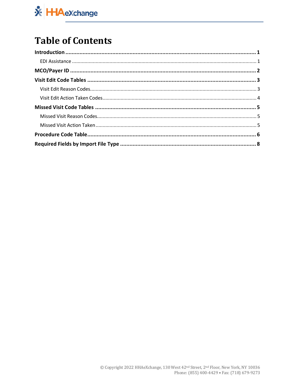

## **Table of Contents**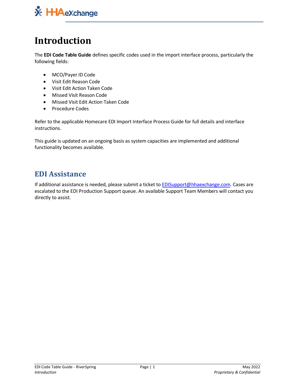

## <span id="page-3-0"></span>**Introduction**

The **EDI Code Table Guide** defines specific codes used in the import interface process, particularly the following fields:

- MCO/Payer ID Code
- Visit Edit Reason Code
- Visit Edit Action Taken Code
- Missed Visit Reason Code
- Missed Visit Edit Action Taken Code
- Procedure Codes

Refer to the applicable Homecare EDI Import Interface Process Guide for full details and interface instructions.

This guide is updated on an ongoing basis as system capacities are implemented and additional functionality becomes available.

#### <span id="page-3-1"></span>**EDI Assistance**

If additional assistance is needed, please submit a ticket to [EDISupport@hhaexchange.com.](mailto:EDISupport@hhaexchange.com) Cases are escalated to the EDI Production Support queue. An available Support Team Members will contact you directly to assist.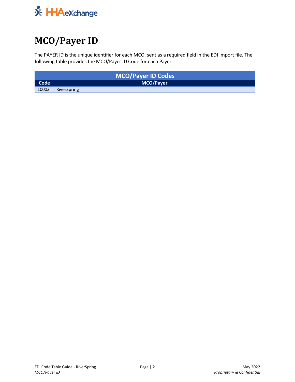

## <span id="page-4-0"></span>**MCO/Payer ID**

The PAYER ID is the unique identifier for each MCO, sent as a required field in the EDI Import file. The following table provides the MCO/Payer ID Code for each Payer.

|       |             | <b>MCO/Payer ID Codes</b> |  |
|-------|-------------|---------------------------|--|
| Code  |             | <b>MCO/Payer</b>          |  |
| 10003 | RiverSpring |                           |  |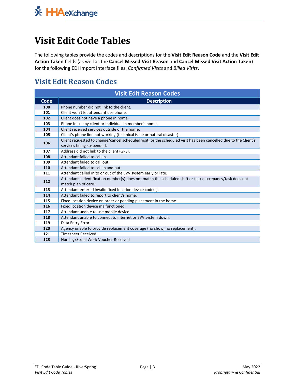## <span id="page-5-0"></span>**Visit Edit Code Tables**

The following tables provide the codes and descriptions for the **Visit Edit Reason Code** and the **Visit Edit Action Taken** fields (as well as the **Cancel Missed Visit Reason** and **Cancel Missed Visit Action Taken**) for the following EDI Import Interface files: *Confirmed Visits* and *Billed Visits*.

#### <span id="page-5-1"></span>**Visit Edit Reason Codes**

| <b>Visit Edit Reason Codes</b> |                                                                                                                                  |  |
|--------------------------------|----------------------------------------------------------------------------------------------------------------------------------|--|
| Code                           | <b>Description</b>                                                                                                               |  |
| 100                            | Phone number did not link to the client.                                                                                         |  |
| 101                            | Client won't let attendant use phone.                                                                                            |  |
| 102                            | Client does not have a phone in home.                                                                                            |  |
| 103                            | Phone in use by client or individual in member's home.                                                                           |  |
| 104                            | Client received services outside of the home.                                                                                    |  |
| 105                            | Client's phone line not working (technical issue or natural disaster).                                                           |  |
| 106                            | Client requested to change/cancel scheduled visit; or the scheduled visit has been cancelled due to the Client's                 |  |
|                                | services being suspended.                                                                                                        |  |
| 107                            | Address did not link to the client (GPS).                                                                                        |  |
| 108                            | Attendant failed to call in.                                                                                                     |  |
| 109                            | Attendant failed to call out.                                                                                                    |  |
| 110                            | Attendant failed to call in and out.                                                                                             |  |
| 111                            | Attendant called in to or out of the EVV system early or late.                                                                   |  |
| 112                            | Attendant's identification number(s) does not match the scheduled shift or task discrepancy/task does not<br>match plan of care. |  |
| 113                            | Attendant entered invalid fixed location device code(s).                                                                         |  |
| 114                            | Attendant failed to report to client's home.                                                                                     |  |
| 115                            | Fixed location device on order or pending placement in the home.                                                                 |  |
| 116                            | Fixed location device malfunctioned.                                                                                             |  |
| 117                            | Attendant unable to use mobile device.                                                                                           |  |
| 118                            | Attendant unable to connect to internet or EVV system down.                                                                      |  |
| 119                            | Data Entry Error                                                                                                                 |  |
| 120                            | Agency unable to provide replacement coverage (no show, no replacement).                                                         |  |
| 121                            | <b>Timesheet Received</b>                                                                                                        |  |
| 123                            | Nursing/Social Work Voucher Received                                                                                             |  |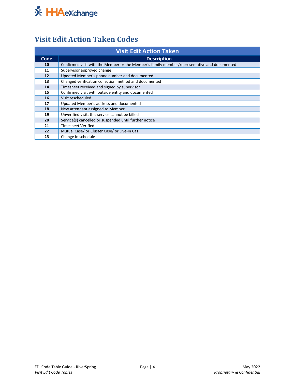

### <span id="page-6-0"></span>**Visit Edit Action Taken Codes**

| <b>Visit Edit Action Taken</b> |                                                                                             |  |
|--------------------------------|---------------------------------------------------------------------------------------------|--|
| Code                           | <b>Description</b>                                                                          |  |
| 10                             | Confirmed visit with the Member or the Member's family member/representative and documented |  |
| 11                             | Supervisor approved change                                                                  |  |
| 12                             | Updated Member's phone number and documented                                                |  |
| 13                             | Changed verification collection method and documented                                       |  |
| 14                             | Timesheet received and signed by supervisor                                                 |  |
| 15                             | Confirmed visit with outside entity and documented                                          |  |
| 16                             | Visit rescheduled                                                                           |  |
| 17                             | Updated Member's address and documented                                                     |  |
| 18                             | New attendant assigned to Member                                                            |  |
| 19                             | Unverified visit; this service cannot be billed                                             |  |
| 20                             | Service(s) cancelled or suspended until further notice                                      |  |
| 21                             | Timesheet Verified                                                                          |  |
| 22                             | Mutual Case/ or Cluster Case/ or Live-in Cas                                                |  |
| 23                             | Change in schedule                                                                          |  |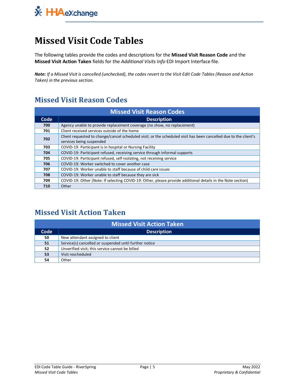

## <span id="page-7-0"></span>**Missed Visit Code Tables**

The following tables provide the codes and descriptions for the **Missed Visit Reason Code** and the **Missed Visit Action Taken** fields for the *Additional Visits Info* EDI Import Interface file.

*Note: If a Missed Visit is cancelled (unchecked), the codes revert to the Visit Edit Code Tables (Reason and Action Taken) in the previous section.* 

#### <span id="page-7-1"></span>**Missed Visit Reason Codes**

| <b>Missed Visit Reason Codes</b> |                                                                                                                                              |  |
|----------------------------------|----------------------------------------------------------------------------------------------------------------------------------------------|--|
| Code                             | <b>Description</b>                                                                                                                           |  |
| 700                              | Agency unable to provide replacement coverage (no show, no replacement)                                                                      |  |
| 701                              | Client received services outside of the home                                                                                                 |  |
| 702                              | Client requested to change/cancel scheduled visit; or the scheduled visit has been cancelled due to the client's<br>services being suspended |  |
| 703                              | COVID-19: Participant is in hospital or Nursing Facility                                                                                     |  |
| 704                              | COVID-19: Participant refused, receiving service through informal supports                                                                   |  |
| 705                              | COVID-19: Participant refused, self-isolating, not receiving service                                                                         |  |
| 706                              | COVID-19: Worker switched to cover another case                                                                                              |  |
| 707                              | COVID-19: Worker unable to staff because of child care issues                                                                                |  |
| 708                              | COVID-19: Worker unable to staff because they are sick                                                                                       |  |
| 709                              | COVID-19: Other (Note: If selecting COVID-19: Other, please provide additional details in the Note section)                                  |  |
| 710                              | Other                                                                                                                                        |  |

#### <span id="page-7-2"></span>**Missed Visit Action Taken**

| <b>Missed Visit Action Taken</b> |                                                        |  |
|----------------------------------|--------------------------------------------------------|--|
| Code                             | <b>Description</b>                                     |  |
| 50                               | New attendant assigned to client                       |  |
| 51                               | Service(s) cancelled or suspended until further notice |  |
| 52                               | Unverified visit; this service cannot be billed        |  |
| 53                               | Visit rescheduled                                      |  |
| 54                               | Other                                                  |  |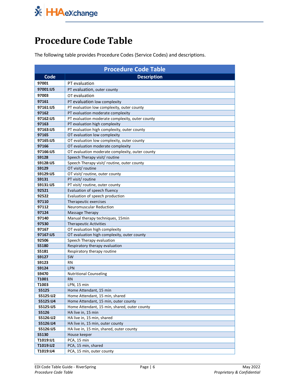

## <span id="page-8-0"></span>**Procedure Code Table**

The following table provides Procedure Codes (Service Codes) and descriptions.

| <b>Procedure Code Table</b> |                                                                                 |  |
|-----------------------------|---------------------------------------------------------------------------------|--|
| Code                        | <b>Description</b>                                                              |  |
| 97001                       | PT evaluation                                                                   |  |
| 97001:U5                    | PT evaluation, outer county                                                     |  |
| 97003                       | OT evaluation                                                                   |  |
| 97161                       | PT evaluation low complexity                                                    |  |
| 97161:U5                    |                                                                                 |  |
| 97162                       | PT evaluation low complexity, outer county<br>PT evaluation moderate complexity |  |
| 97162:U5                    | PT evaluation moderate complexity, outer county                                 |  |
| 97163                       | PT evaluation high complexity                                                   |  |
| 97163:U5                    | PT evaluation high complexity, outer county                                     |  |
| 97165                       | OT evaluation low complexity                                                    |  |
| 97165:U5                    | OT evaluation low complexity, outer county                                      |  |
| 97166                       | OT evaluation moderate complexity                                               |  |
| 97166:U5                    | OT evaluation moderate complexity, outer county                                 |  |
| <b>S9128</b>                | Speech Therapy visit/ routine                                                   |  |
| S9128:U5                    | Speech Therapy visit/ routine, outer county                                     |  |
| S9129                       | OT visit/ routine                                                               |  |
| S9129:U5                    | OT visit/routine, outer county                                                  |  |
| S9131                       | PT visit/ routine                                                               |  |
| S9131:U5                    | PT visit/ routine, outer county                                                 |  |
| 92521                       | Evaluation of speech fluency                                                    |  |
| 92522                       | Evaluation of speech production                                                 |  |
| 97110                       | Therapeutic exercises                                                           |  |
| 97112                       | Neuromuscular Reduction                                                         |  |
| 97124                       | Massage Therapy                                                                 |  |
| 97140                       | Manual therapy techniques, 15min                                                |  |
| 97530                       | <b>Therapeutic Activities</b>                                                   |  |
| 97167                       | OT evaluation high complexity                                                   |  |
| 97167:U5                    | OT evaluation high complexity, outer county                                     |  |
| 92506                       | Speech Therapy evaluation                                                       |  |
| S5180                       | Respiratory therapy evaluation                                                  |  |
| S5181                       | Respiratory therapy routine                                                     |  |
| <b>S9127</b>                | SW                                                                              |  |
| S9123                       | RN                                                                              |  |
| <b>S9124</b>                | <b>LPN</b>                                                                      |  |
| S9470                       | <b>Nutritional Counseling</b>                                                   |  |
| T1001                       | <b>RN</b>                                                                       |  |
| T1003                       | LPN, 15 min                                                                     |  |
| <b>S5125</b>                | Home Attendant, 15 min                                                          |  |
| S5125:U2                    | Home Attendant, 15 min, shared                                                  |  |
| S5125:U4                    | Home Attendant, 15 min, outer county                                            |  |
| S5125:U5                    | Home Attendant, 15 min, shared, outer county                                    |  |
| <b>S5126</b>                | HA live in, 15 min                                                              |  |
| S5126:U2                    | HA live in, 15 min, shared                                                      |  |
| S5126:U4                    | HA live in, 15 min, outer county                                                |  |
| S5126:U5                    | HA live in, 15 min, shared, outer county                                        |  |
| <b>S5130</b>                | House keeper                                                                    |  |
| T1019:U1                    | PCA, 15 min                                                                     |  |
| T1019:U2                    | PCA, 15 min, shared                                                             |  |
| T1019:U4                    | PCA, 15 min, outer county                                                       |  |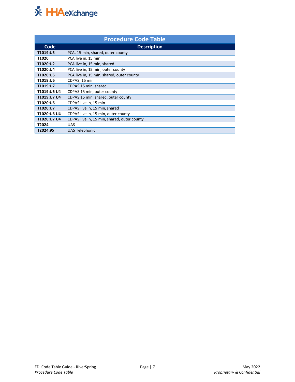

| <b>Procedure Code Table</b> |                                             |  |
|-----------------------------|---------------------------------------------|--|
| Code                        | <b>Description</b>                          |  |
| T1019:U5                    | PCA, 15 min, shared, outer county           |  |
| T1020                       | PCA live in, 15 min                         |  |
| T1020:U2                    | PCA live in, 15 min, shared                 |  |
| T1020:U4                    | PCA live in, 15 min, outer county           |  |
| T1020:U5                    | PCA live in, 15 min, shared, outer county   |  |
| T1019:U6                    | CDPAS, 15 min                               |  |
| T1019:U7                    | CDPAS 15 min, shared                        |  |
| T1019:U6 U4                 | CDPAS 15 min, outer county                  |  |
| T1019:U7 U4                 | CDPAS 15 min, shared, outer county          |  |
| T1020:U6                    | CDPAS live in, 15 min                       |  |
| T1020:U7                    | CDPAS live in, 15 min, shared               |  |
| T1020:U6 U4                 | CDPAS live in, 15 min, outer county         |  |
| T1020:U7 U4                 | CDPAS live in, 15 min, shared, outer county |  |
| T2024                       | <b>UAS</b>                                  |  |
| T2024:95                    | <b>UAS Telephonic</b>                       |  |